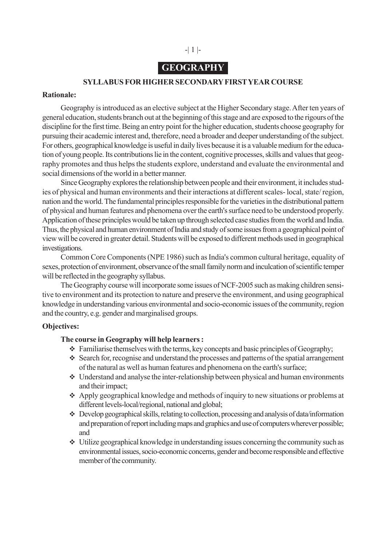# **GEOGRAPHY**

#### **SYLLABUS FOR HIGHER SECONDARY FIRST YEAR COURSE**

#### **Rationale:**

Geography is introduced as an elective subject at the Higher Secondary stage. After ten years of general education, students branch out at the beginning of this stage and are exposed to the rigours of the discipline for the first time. Being an entry point for the higher education, students choose geography for pursuing their academic interest and, therefore, need a broader and deeper understanding of the subject. For others, geographical knowledge is useful in daily lives because it is a valuable medium for the education of young people. Its contributions lie in the content, cognitive processes, skills and values that geography promotes and thus helps the students explore, understand and evaluate the environmental and social dimensions of the world in a better manner.

Since Geography explores the relationship between people and their environment, it includes studies of physical and human environments and their interactions at different scales- local, state/ region, nation and the world. The fundamental principles responsible for the varieties in the distributional pattern of physical and human features and phenomena over the earth's surface need to be understood properly. Application of these principles would be taken up through selected case studies from the world and India. Thus, the physical and human environment of India and study of some issues from a geographical point of view will be covered in greater detail. Students will be exposed to different methods used in geographical investigations.

Common Core Components (NPE 1986) such as India's common cultural heritage, equality of sexes, protection of environment, observance of the small family norm and inculcation of scientific temper will be reflected in the geography syllabus.

The Geography course will incorporate some issues of NCF-2005 such as making children sensitive to environment and its protection to nature and preserve the environment, and using geographical knowledge in understanding various environmental and socio-economic issues of the community, region and the country, e.g. gender and marginalised groups.

#### **Objectives:**

#### **The course in Geography will help learners :**

- Familiarise themselves with the terms, key concepts and basic principles of Geography;
- Search for, recognise and understand the processes and patterns of the spatial arrangement of the natural as well as human features and phenomena on the earth's surface;
- Understand and analyse the inter-relationship between physical and human environments and their impact;
- Apply geographical knowledge and methods of inquiry to new situations or problems at different levels-local/regional, national and global;
- Develop geographical skills, relating to collection, processing and analysis of data/information and preparation of report including maps and graphics and use of computers wherever possible; and
- Utilize geographical knowledge in understanding issues concerning the community such as environmental issues, socio-economic concerns, gender and become responsible and effective member of the community.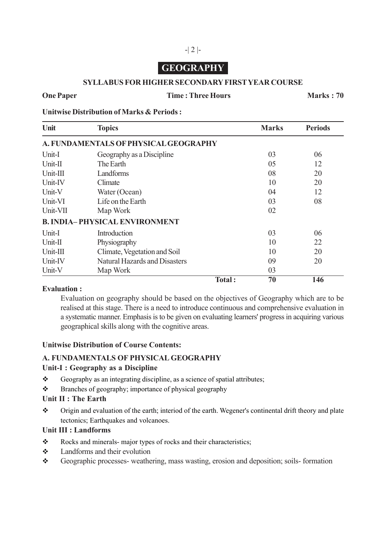# **GEOGRAPHY**

#### **SYLLABUS FOR HIGHER SECONDARY FIRST YEAR COURSE**

**One Paper Time : Three Hours Marks : 70** 

**Unitwise Distribution of Marks & Periods :**

| Unit       | <b>Topics</b>                         |        | <b>Marks</b> | <b>Periods</b> |
|------------|---------------------------------------|--------|--------------|----------------|
|            | A. FUNDAMENTALS OF PHYSICAL GEOGRAPHY |        |              |                |
| Unit-I     | Geography as a Discipline             |        | 03           | 06             |
| Unit-II    | The Earth                             |        | 05           | 12             |
| $Unit-III$ | Landforms                             |        | 08           | 20             |
| Unit-IV    | Climate                               |        | 10           | 20             |
| Unit-V     | Water (Ocean)                         |        | 04           | 12             |
| Unit-VI    | Life on the Earth                     |        | 03           | 08             |
| Unit-VII   | Map Work                              |        | 02           |                |
|            | <b>B. INDIA-PHYSICAL ENVIRONMENT</b>  |        |              |                |
| Unit-I     | Introduction                          |        | 03           | 06             |
| Unit-II    | Physiography                          |        | 10           | 22             |
| Unit-III   | Climate, Vegetation and Soil          |        | 10           | 20             |
| Unit-IV    | <b>Natural Hazards and Disasters</b>  |        | 09           | 20             |
| Unit-V     | Map Work                              |        | 03           |                |
|            |                                       | Total: | 70           | 146            |

#### **Evaluation :**

Evaluation on geography should be based on the objectives of Geography which are to be realised at this stage. There is a need to introduce continuous and comprehensive evaluation in a systematic manner. Emphasis is to be given on evaluating learners' progress in acquiring various geographical skills along with the cognitive areas.

#### **Unitwise Distribution of Course Contents:**

## **A. FUNDAMENTALS OF PHYSICAL GEOGRAPHY**

#### **Unit-I : Geography as a Discipline**

- Geography as an integrating discipline, as a science of spatial attributes;
- $\triangle$  Branches of geography; importance of physical geography

## **Unit II : The Earth**

 Origin and evaluation of the earth; interiod of the earth. Wegener's continental drift theory and plate tectonics; Earthquakes and volcanoes.

#### **Unit III : Landforms**

- \* Rocks and minerals- major types of rocks and their characteristics;
- Landforms and their evolution
- Geographic processes- weathering, mass wasting, erosion and deposition; soils- formation

# -| 2 |-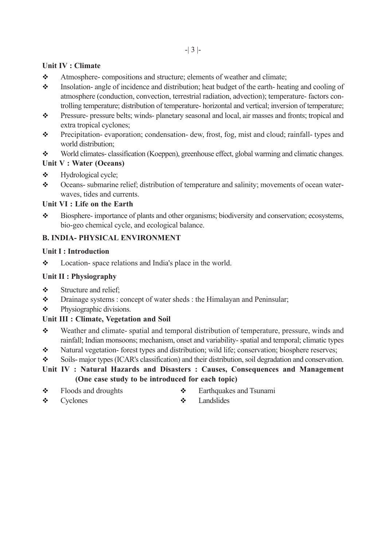# **Unit IV : Climate**

- Atmosphere- compositions and structure; elements of weather and climate;
- Insolation- angle of incidence and distribution; heat budget of the earth- heating and cooling of atmosphere (conduction, convection, terrestrial radiation, advection); temperature- factors controlling temperature; distribution of temperature- horizontal and vertical; inversion of temperature;
- \* Pressure- pressure belts; winds- planetary seasonal and local, air masses and fronts; tropical and extra tropical cyclones;
- Precipitation- evaporation; condensation- dew, frost, fog, mist and cloud; rainfall- types and world distribution;
- World climates- classification (Koeppen), greenhouse effect, global warming and climatic changes.

# **Unit V : Water (Oceans)**

- Hydrological cycle;
- Oceans- submarine relief; distribution of temperature and salinity; movements of ocean waterwaves, tides and currents.

# **Unit VI : Life on the Earth**

 Biosphere- importance of plants and other organisms; biodiversity and conservation; ecosystems, bio-geo chemical cycle, and ecological balance.

# **B. INDIA- PHYSICAL ENVIRONMENT**

## **Unit I : Introduction**

• Location- space relations and India's place in the world.

## **Unit II : Physiography**

- Structure and relief:
- Drainage systems : concept of water sheds : the Himalayan and Peninsular;
- **\*** Physiographic divisions.

# **Unit III : Climate, Vegetation and Soil**

- \* Weather and climate- spatial and temporal distribution of temperature, pressure, winds and rainfall; Indian monsoons; mechanism, onset and variability- spatial and temporal; climatic types
- Natural vegetation- forest types and distribution; wild life; conservation; biosphere reserves;
- Soils- major types (ICAR's classification) and their distribution, soil degradation and conservation.

# **Unit IV : Natural Hazards and Disasters : Causes, Consequences and Management (One case study to be introduced for each topic)**

- Floods and droughts **Earthquakes and Tsunami**
- Cyclones Landslides
- -